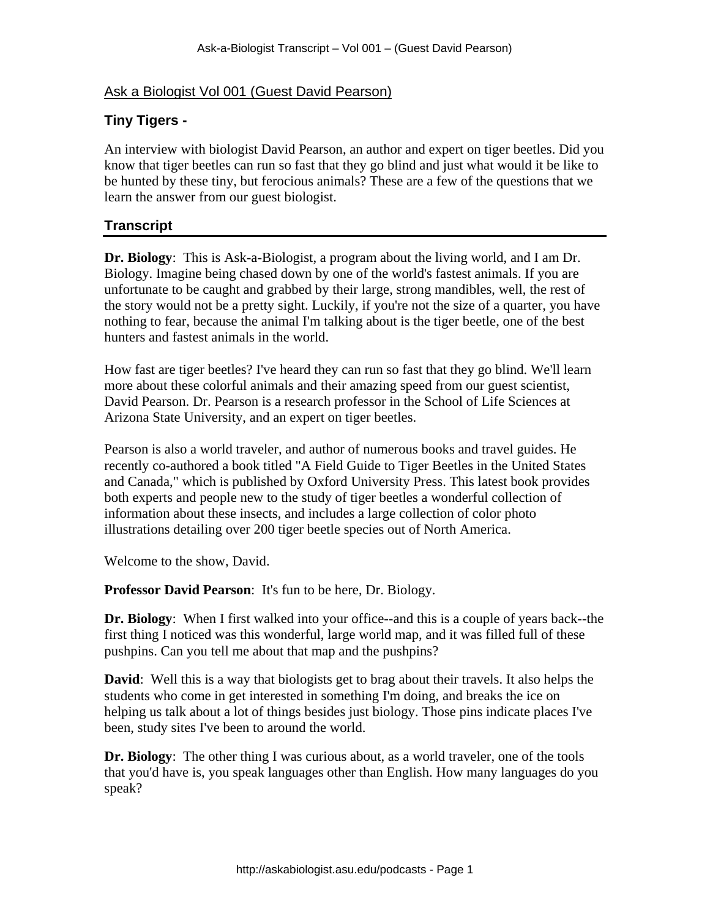## Ask a Biologist Vol 001 (Guest David Pearson)

## **Tiny Tigers -**

An interview with biologist David Pearson, an author and expert on tiger beetles. Did you know that tiger beetles can run so fast that they go blind and just what would it be like to be hunted by these tiny, but ferocious animals? These are a few of the questions that we learn the answer from our guest biologist.

## **Transcript**

**Dr. Biology**: This is Ask-a-Biologist, a program about the living world, and I am Dr. Biology. Imagine being chased down by one of the world's fastest animals. If you are unfortunate to be caught and grabbed by their large, strong mandibles, well, the rest of the story would not be a pretty sight. Luckily, if you're not the size of a quarter, you have nothing to fear, because the animal I'm talking about is the tiger beetle, one of the best hunters and fastest animals in the world.

How fast are tiger beetles? I've heard they can run so fast that they go blind. We'll learn more about these colorful animals and their amazing speed from our guest scientist, David Pearson. Dr. Pearson is a research professor in the School of Life Sciences at Arizona State University, and an expert on tiger beetles.

Pearson is also a world traveler, and author of numerous books and travel guides. He recently co-authored a book titled "A Field Guide to Tiger Beetles in the United States and Canada," which is published by Oxford University Press. This latest book provides both experts and people new to the study of tiger beetles a wonderful collection of information about these insects, and includes a large collection of color photo illustrations detailing over 200 tiger beetle species out of North America.

Welcome to the show, David.

**Professor David Pearson**: It's fun to be here, Dr. Biology.

**Dr. Biology**: When I first walked into your office--and this is a couple of years back--the first thing I noticed was this wonderful, large world map, and it was filled full of these pushpins. Can you tell me about that map and the pushpins?

**David**: Well this is a way that biologists get to brag about their travels. It also helps the students who come in get interested in something I'm doing, and breaks the ice on helping us talk about a lot of things besides just biology. Those pins indicate places I've been, study sites I've been to around the world.

**Dr. Biology**: The other thing I was curious about, as a world traveler, one of the tools that you'd have is, you speak languages other than English. How many languages do you speak?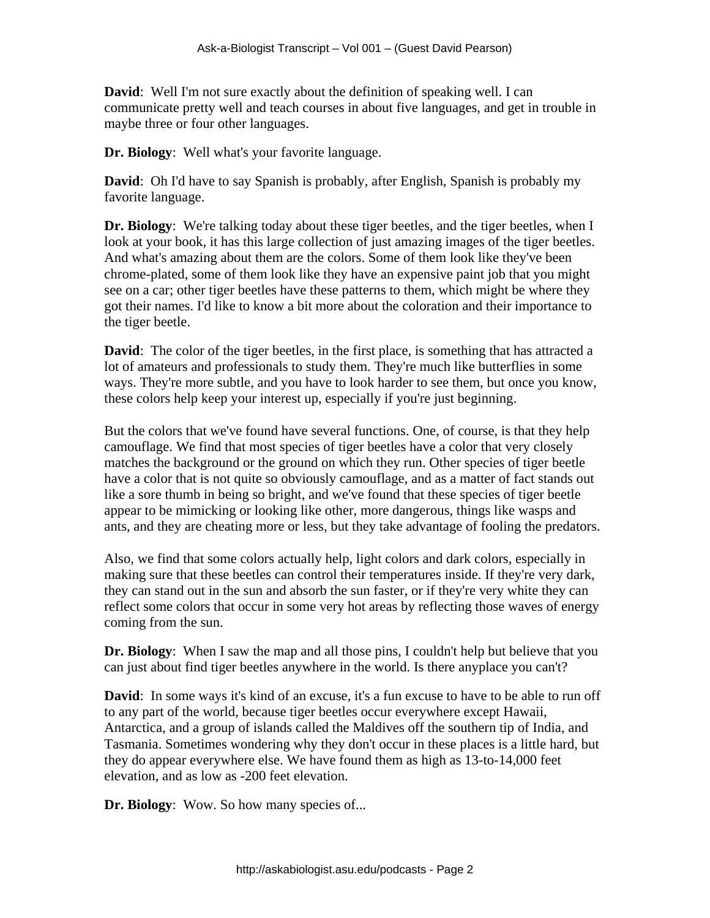**David:** Well I'm not sure exactly about the definition of speaking well. I can communicate pretty well and teach courses in about five languages, and get in trouble in maybe three or four other languages.

**Dr. Biology**: Well what's your favorite language.

**David**: Oh I'd have to say Spanish is probably, after English, Spanish is probably my favorite language.

**Dr. Biology**: We're talking today about these tiger beetles, and the tiger beetles, when I look at your book, it has this large collection of just amazing images of the tiger beetles. And what's amazing about them are the colors. Some of them look like they've been chrome-plated, some of them look like they have an expensive paint job that you might see on a car; other tiger beetles have these patterns to them, which might be where they got their names. I'd like to know a bit more about the coloration and their importance to the tiger beetle.

**David**: The color of the tiger beetles, in the first place, is something that has attracted a lot of amateurs and professionals to study them. They're much like butterflies in some ways. They're more subtle, and you have to look harder to see them, but once you know, these colors help keep your interest up, especially if you're just beginning.

But the colors that we've found have several functions. One, of course, is that they help camouflage. We find that most species of tiger beetles have a color that very closely matches the background or the ground on which they run. Other species of tiger beetle have a color that is not quite so obviously camouflage, and as a matter of fact stands out like a sore thumb in being so bright, and we've found that these species of tiger beetle appear to be mimicking or looking like other, more dangerous, things like wasps and ants, and they are cheating more or less, but they take advantage of fooling the predators.

Also, we find that some colors actually help, light colors and dark colors, especially in making sure that these beetles can control their temperatures inside. If they're very dark, they can stand out in the sun and absorb the sun faster, or if they're very white they can reflect some colors that occur in some very hot areas by reflecting those waves of energy coming from the sun.

**Dr. Biology**: When I saw the map and all those pins, I couldn't help but believe that you can just about find tiger beetles anywhere in the world. Is there anyplace you can't?

**David:** In some ways it's kind of an excuse, it's a fun excuse to have to be able to run off to any part of the world, because tiger beetles occur everywhere except Hawaii, Antarctica, and a group of islands called the Maldives off the southern tip of India, and Tasmania. Sometimes wondering why they don't occur in these places is a little hard, but they do appear everywhere else. We have found them as high as 13-to-14,000 feet elevation, and as low as -200 feet elevation.

**Dr. Biology**: Wow. So how many species of...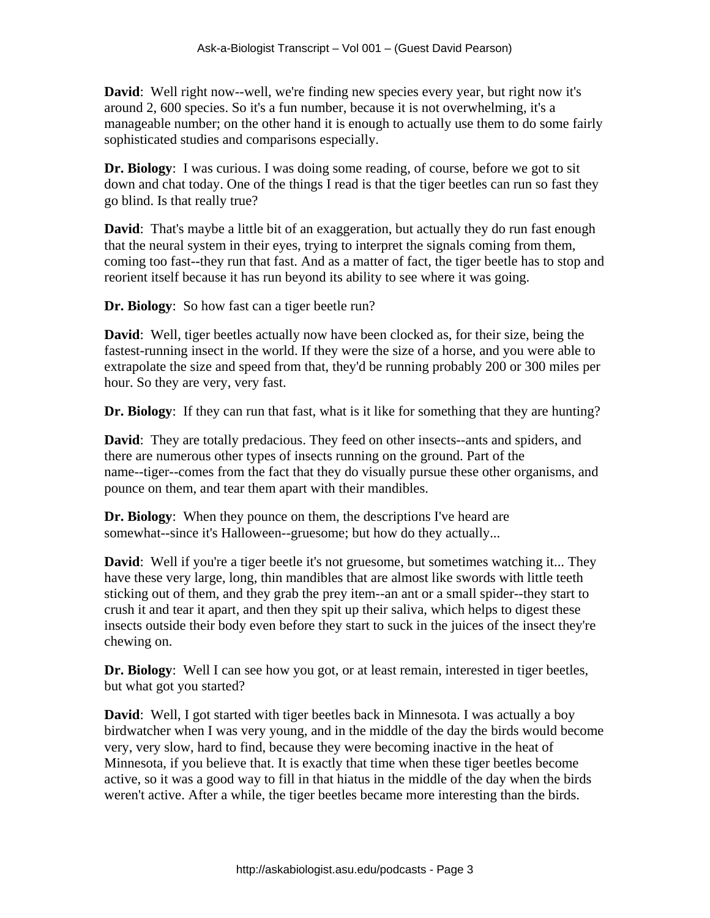**David**: Well right now--well, we're finding new species every year, but right now it's around 2, 600 species. So it's a fun number, because it is not overwhelming, it's a manageable number; on the other hand it is enough to actually use them to do some fairly sophisticated studies and comparisons especially.

**Dr. Biology**: I was curious. I was doing some reading, of course, before we got to sit down and chat today. One of the things I read is that the tiger beetles can run so fast they go blind. Is that really true?

**David**: That's maybe a little bit of an exaggeration, but actually they do run fast enough that the neural system in their eyes, trying to interpret the signals coming from them, coming too fast--they run that fast. And as a matter of fact, the tiger beetle has to stop and reorient itself because it has run beyond its ability to see where it was going.

**Dr. Biology**: So how fast can a tiger beetle run?

**David**: Well, tiger beetles actually now have been clocked as, for their size, being the fastest-running insect in the world. If they were the size of a horse, and you were able to extrapolate the size and speed from that, they'd be running probably 200 or 300 miles per hour. So they are very, very fast.

**Dr. Biology**: If they can run that fast, what is it like for something that they are hunting?

**David**: They are totally predacious. They feed on other insects--ants and spiders, and there are numerous other types of insects running on the ground. Part of the name--tiger--comes from the fact that they do visually pursue these other organisms, and pounce on them, and tear them apart with their mandibles.

**Dr. Biology**: When they pounce on them, the descriptions I've heard are somewhat--since it's Halloween--gruesome; but how do they actually...

**David**: Well if you're a tiger beetle it's not gruesome, but sometimes watching it... They have these very large, long, thin mandibles that are almost like swords with little teeth sticking out of them, and they grab the prey item--an ant or a small spider--they start to crush it and tear it apart, and then they spit up their saliva, which helps to digest these insects outside their body even before they start to suck in the juices of the insect they're chewing on.

**Dr. Biology**: Well I can see how you got, or at least remain, interested in tiger beetles, but what got you started?

**David**: Well, I got started with tiger beetles back in Minnesota. I was actually a boy birdwatcher when I was very young, and in the middle of the day the birds would become very, very slow, hard to find, because they were becoming inactive in the heat of Minnesota, if you believe that. It is exactly that time when these tiger beetles become active, so it was a good way to fill in that hiatus in the middle of the day when the birds weren't active. After a while, the tiger beetles became more interesting than the birds.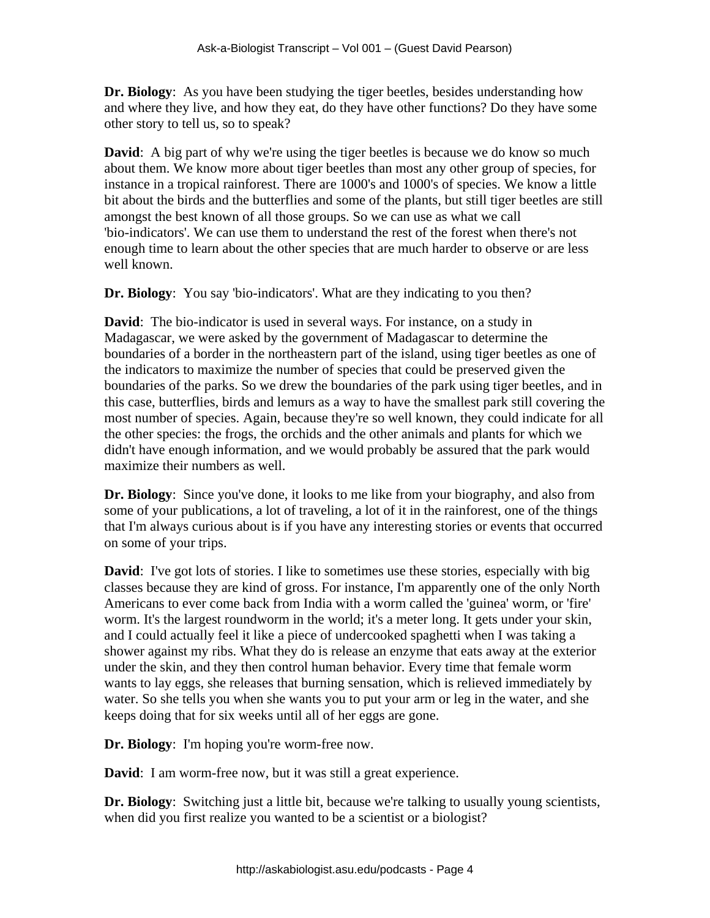**Dr. Biology**: As you have been studying the tiger beetles, besides understanding how and where they live, and how they eat, do they have other functions? Do they have some other story to tell us, so to speak?

**David**: A big part of why we're using the tiger beetles is because we do know so much about them. We know more about tiger beetles than most any other group of species, for instance in a tropical rainforest. There are 1000's and 1000's of species. We know a little bit about the birds and the butterflies and some of the plants, but still tiger beetles are still amongst the best known of all those groups. So we can use as what we call 'bio-indicators'. We can use them to understand the rest of the forest when there's not enough time to learn about the other species that are much harder to observe or are less well known.

**Dr. Biology**: You say 'bio-indicators'. What are they indicating to you then?

**David**: The bio-indicator is used in several ways. For instance, on a study in Madagascar, we were asked by the government of Madagascar to determine the boundaries of a border in the northeastern part of the island, using tiger beetles as one of the indicators to maximize the number of species that could be preserved given the boundaries of the parks. So we drew the boundaries of the park using tiger beetles, and in this case, butterflies, birds and lemurs as a way to have the smallest park still covering the most number of species. Again, because they're so well known, they could indicate for all the other species: the frogs, the orchids and the other animals and plants for which we didn't have enough information, and we would probably be assured that the park would maximize their numbers as well.

**Dr. Biology**: Since you've done, it looks to me like from your biography, and also from some of your publications, a lot of traveling, a lot of it in the rainforest, one of the things that I'm always curious about is if you have any interesting stories or events that occurred on some of your trips.

**David**: I've got lots of stories. I like to sometimes use these stories, especially with big classes because they are kind of gross. For instance, I'm apparently one of the only North Americans to ever come back from India with a worm called the 'guinea' worm, or 'fire' worm. It's the largest roundworm in the world; it's a meter long. It gets under your skin, and I could actually feel it like a piece of undercooked spaghetti when I was taking a shower against my ribs. What they do is release an enzyme that eats away at the exterior under the skin, and they then control human behavior. Every time that female worm wants to lay eggs, she releases that burning sensation, which is relieved immediately by water. So she tells you when she wants you to put your arm or leg in the water, and she keeps doing that for six weeks until all of her eggs are gone.

**Dr. Biology**: I'm hoping you're worm-free now.

**David**: I am worm-free now, but it was still a great experience.

**Dr. Biology**: Switching just a little bit, because we're talking to usually young scientists, when did you first realize you wanted to be a scientist or a biologist?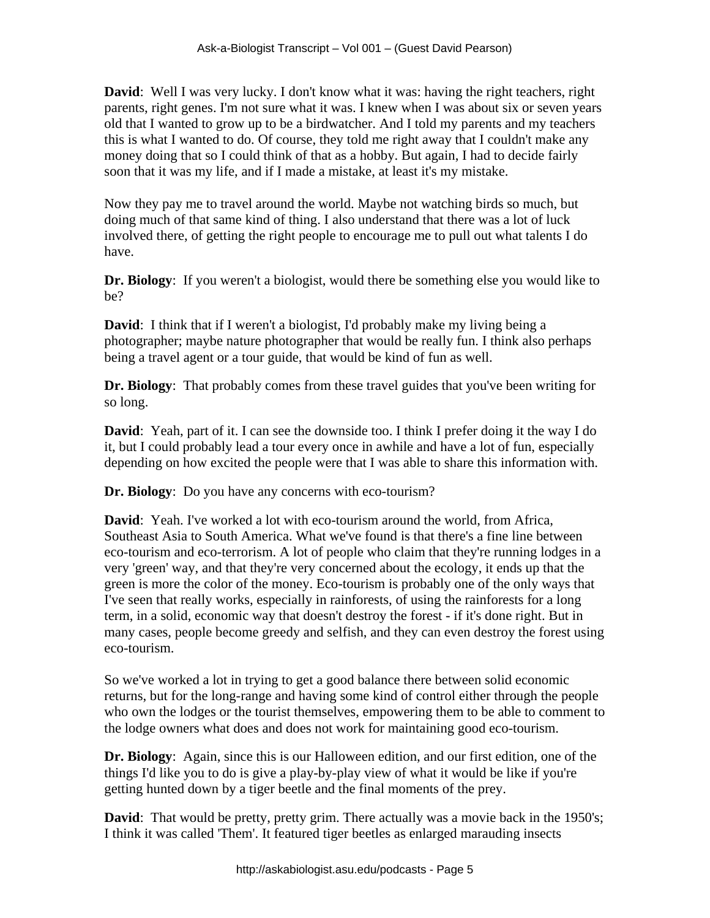**David**: Well I was very lucky. I don't know what it was: having the right teachers, right parents, right genes. I'm not sure what it was. I knew when I was about six or seven years old that I wanted to grow up to be a birdwatcher. And I told my parents and my teachers this is what I wanted to do. Of course, they told me right away that I couldn't make any money doing that so I could think of that as a hobby. But again, I had to decide fairly soon that it was my life, and if I made a mistake, at least it's my mistake.

Now they pay me to travel around the world. Maybe not watching birds so much, but doing much of that same kind of thing. I also understand that there was a lot of luck involved there, of getting the right people to encourage me to pull out what talents I do have.

**Dr. Biology**: If you weren't a biologist, would there be something else you would like to be?

**David**: I think that if I weren't a biologist, I'd probably make my living being a photographer; maybe nature photographer that would be really fun. I think also perhaps being a travel agent or a tour guide, that would be kind of fun as well.

**Dr. Biology**: That probably comes from these travel guides that you've been writing for so long.

**David**: Yeah, part of it. I can see the downside too. I think I prefer doing it the way I do it, but I could probably lead a tour every once in awhile and have a lot of fun, especially depending on how excited the people were that I was able to share this information with.

**Dr. Biology**: Do you have any concerns with eco-tourism?

**David**: Yeah. I've worked a lot with eco-tourism around the world, from Africa, Southeast Asia to South America. What we've found is that there's a fine line between eco-tourism and eco-terrorism. A lot of people who claim that they're running lodges in a very 'green' way, and that they're very concerned about the ecology, it ends up that the green is more the color of the money. Eco-tourism is probably one of the only ways that I've seen that really works, especially in rainforests, of using the rainforests for a long term, in a solid, economic way that doesn't destroy the forest - if it's done right. But in many cases, people become greedy and selfish, and they can even destroy the forest using eco-tourism.

So we've worked a lot in trying to get a good balance there between solid economic returns, but for the long-range and having some kind of control either through the people who own the lodges or the tourist themselves, empowering them to be able to comment to the lodge owners what does and does not work for maintaining good eco-tourism.

**Dr. Biology**: Again, since this is our Halloween edition, and our first edition, one of the things I'd like you to do is give a play-by-play view of what it would be like if you're getting hunted down by a tiger beetle and the final moments of the prey.

**David**: That would be pretty, pretty grim. There actually was a movie back in the 1950's; I think it was called 'Them'. It featured tiger beetles as enlarged marauding insects